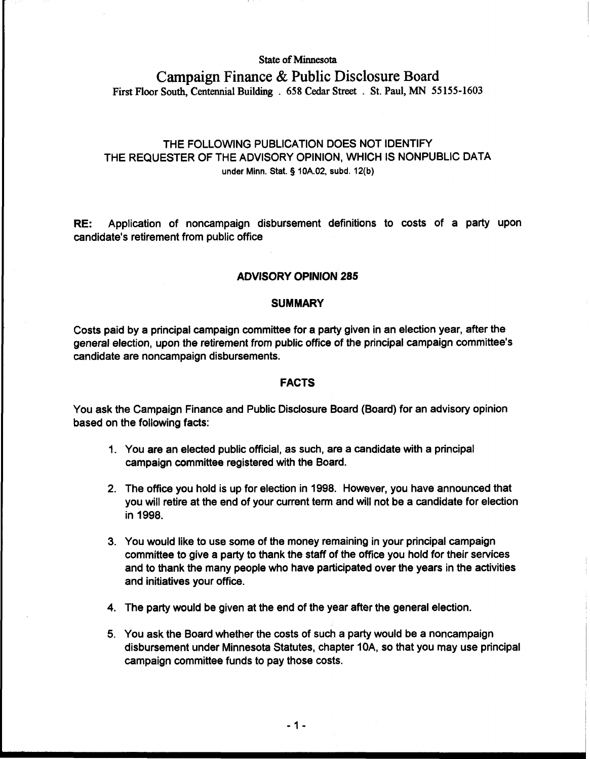## **State of Minnesota**

# **Campaign Finance** & **Public Disclosure Board First Floor South, Centennial Buildmg** . **658 Cedar Street** . **St. Paul, MN 55 155-1603**

# THE FOLLOWING PUBLICATION DOES NOT IDENTIFY THE REQUESTER OF THE ADVISORY OPINION, WHICH IS NONPUBLIC DATA **under Minn.** Stat. § 10A.02, **subd.** 12(b)

RE: Application of noncampaign disbursement definitions to costs of a party upon candidate's retirement from public office

#### **ADVISORY OPINION 285**

#### **SUMMARY**

Costs paid by a principal campaign committee for a party given in an election year, after the general election, upon the retirement from public office of the principal campaign committee's candidate are noncampaign disbursements.

#### **FACTS**

You ask the Campaign Finance and Public Disclosure Board (Board) for an advisory opinion based on the following facts:

- 1. You are an elected public official, as such, are a candidate with a principal campaign committee registered with the Board.
- 2. The offtce you hold is up for election in 1998. However, you have announced that you will retire at the end of your current term and will not be a candidate for election in 1998.
- 3. You would like to use some of the money remaining in your principal campaign committee to give a party to thank the staff of the office you hold for their services and to thank the many people who have participated over the years in the activities and initiatives your office.
- 4. The party would be given at the end of the year after the general election.
- 5. You ask the Board whether the costs of such a party would be a noncampaign disbursement under Minnesota Statutes, chapter 10A, so that you may use principal campaign committee funds to pay those costs.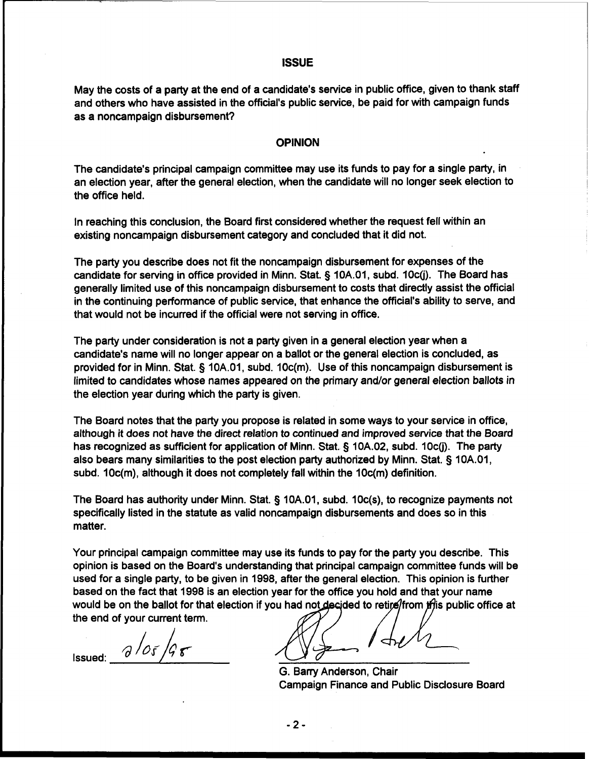# **ISSUE**

May the costs of a party at the end of a candidate's service in public office, given to thank staff and others who have assisted in the official's public service, be paid for with campaign funds as a noncampaign disbursement?

#### **OPINION**

The candidate's principal campaign committee may use its funds to pay for a single party, in an election year, after the general election, when the candidate will no longer seek election to the office held.

In reaching this conclusion, the Board first considered whether the request fell within an existing noncampaign disbursement category and concluded that it did not.

The party you describe does not fit the noncampaign disbursement for expenses of the candidate for serving in office provided in Minn. Stat. § 10A.01, subd. 10c(j). The Board has generally limited use of this noncampaign disbursement to costs that directly assist the official in the continuing performance of public service, that enhance the official's ability to serve, and that would not be incurred if the official were not serving in office.

The party under consideration is not a party given in a general election year when a candidate's name will no longer appear on a ballot or the general election is concluded, as provided for in Minn. Stat. § 10A.01, subd. 10c(m). Use of this noncampaign disbursement is limited to candidates whose names appeared on the primary and/or general election ballots in the election year during which the party is given.

The Board notes that the party you propose is related in some ways to your service in office, although it does not have the direct relation to continued and improved service that the Board has recognized as sufficient for application of Minn. Stat. § 10A.02, subd. 10c(j). The party also bears many similarities to the post election party authorized by Minn. Stat. § 1 0A.01, subd. 10c(m), although it does not completely fall within the 10c(m) definition.

The Board has authority under Minn. Stat. § 10A.01, subd. 10c(s), to recognize payments not specifically listed in the statute as valid noncampaign disbursements and does so in this matter.

Your principal campaign committee may use its funds to pay for the party you describe. This opinion is based on the Board's understanding that principal campaign committee funds will be used for a single party, to be given in 1998, after the general election. This opinion is further based on the fact that 1998 is an election year for the office you hold and that your name would be on the ballot for that election if you had not decided to retire/from this public office at the end of your current term.

 $2/05/95$ Issued:

G. Barry Anderson, Chair Campaign Finance and Public Disclosure Board